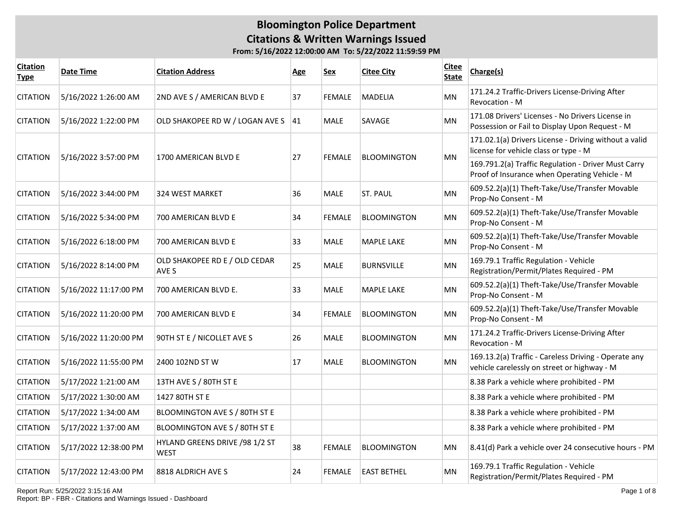| <b>Citation</b><br><b>Type</b> | Date Time             | <b>Citation Address</b>                       | <b>Age</b> | Sex           | <b>Citee City</b>  | <b>Citee</b><br><b>State</b> | Charge(s)                                                                                            |
|--------------------------------|-----------------------|-----------------------------------------------|------------|---------------|--------------------|------------------------------|------------------------------------------------------------------------------------------------------|
| <b>CITATION</b>                | 5/16/2022 1:26:00 AM  | 2ND AVE S / AMERICAN BLVD E                   | 37         | <b>FEMALE</b> | <b>MADELIA</b>     | MN                           | 171.24.2 Traffic-Drivers License-Driving After<br>Revocation - M                                     |
| <b>CITATION</b>                | 5/16/2022 1:22:00 PM  | OLD SHAKOPEE RD W / LOGAN AVE S               | 41         | <b>MALE</b>   | SAVAGE             | MN                           | 171.08 Drivers' Licenses - No Drivers License in<br>Possession or Fail to Display Upon Request - M   |
| <b>CITATION</b>                | 5/16/2022 3:57:00 PM  | 1700 AMERICAN BLVD E                          | 27         | FEMALE        | <b>BLOOMINGTON</b> | MN                           | 171.02.1(a) Drivers License - Driving without a valid<br>license for vehicle class or type - M       |
|                                |                       |                                               |            |               |                    |                              | 169.791.2(a) Traffic Regulation - Driver Must Carry<br>Proof of Insurance when Operating Vehicle - M |
| <b>CITATION</b>                | 5/16/2022 3:44:00 PM  | 324 WEST MARKET                               | 36         | <b>MALE</b>   | ST. PAUL           | MN                           | 609.52.2(a)(1) Theft-Take/Use/Transfer Movable<br>Prop-No Consent - M                                |
| <b>CITATION</b>                | 5/16/2022 5:34:00 PM  | 700 AMERICAN BLVD E                           | 34         | <b>FEMALE</b> | <b>BLOOMINGTON</b> | <b>MN</b>                    | 609.52.2(a)(1) Theft-Take/Use/Transfer Movable<br>Prop-No Consent - M                                |
| <b>CITATION</b>                | 5/16/2022 6:18:00 PM  | 700 AMERICAN BLVD E                           | 33         | <b>MALE</b>   | <b>MAPLE LAKE</b>  | <b>MN</b>                    | 609.52.2(a)(1) Theft-Take/Use/Transfer Movable<br>Prop-No Consent - M                                |
| <b>CITATION</b>                | 5/16/2022 8:14:00 PM  | OLD SHAKOPEE RD E / OLD CEDAR<br>AVE S        | 25         | <b>MALE</b>   | <b>BURNSVILLE</b>  | MN                           | 169.79.1 Traffic Regulation - Vehicle<br>Registration/Permit/Plates Required - PM                    |
| <b>CITATION</b>                | 5/16/2022 11:17:00 PM | 700 AMERICAN BLVD E.                          | 33         | <b>MALE</b>   | <b>MAPLE LAKE</b>  | MN                           | 609.52.2(a)(1) Theft-Take/Use/Transfer Movable<br>Prop-No Consent - M                                |
| <b>CITATION</b>                | 5/16/2022 11:20:00 PM | 700 AMERICAN BLVD E                           | 34         | <b>FEMALE</b> | <b>BLOOMINGTON</b> | MN                           | 609.52.2(a)(1) Theft-Take/Use/Transfer Movable<br>Prop-No Consent - M                                |
| <b>CITATION</b>                | 5/16/2022 11:20:00 PM | 90TH ST E / NICOLLET AVE S                    | 26         | <b>MALE</b>   | <b>BLOOMINGTON</b> | MN                           | 171.24.2 Traffic-Drivers License-Driving After<br>Revocation - M                                     |
| <b>CITATION</b>                | 5/16/2022 11:55:00 PM | 2400 102ND ST W                               | 17         | <b>MALE</b>   | <b>BLOOMINGTON</b> | MN                           | 169.13.2(a) Traffic - Careless Driving - Operate any<br>vehicle carelessly on street or highway - M  |
| <b>CITATION</b>                | 5/17/2022 1:21:00 AM  | 13TH AVE S / 80TH ST E                        |            |               |                    |                              | 8.38 Park a vehicle where prohibited - PM                                                            |
| <b>CITATION</b>                | 5/17/2022 1:30:00 AM  | 1427 80TH ST E                                |            |               |                    |                              | 8.38 Park a vehicle where prohibited - PM                                                            |
| <b>CITATION</b>                | 5/17/2022 1:34:00 AM  | BLOOMINGTON AVE S / 80TH ST E                 |            |               |                    |                              | 8.38 Park a vehicle where prohibited - PM                                                            |
| <b>CITATION</b>                | 5/17/2022 1:37:00 AM  | BLOOMINGTON AVE S / 80TH ST E                 |            |               |                    |                              | 8.38 Park a vehicle where prohibited - PM                                                            |
| <b>CITATION</b>                | 5/17/2022 12:38:00 PM | HYLAND GREENS DRIVE /98 1/2 ST<br><b>WEST</b> | 38         | FEMALE        | <b>BLOOMINGTON</b> | MN                           | 8.41(d) Park a vehicle over 24 consecutive hours - PM                                                |
| <b>CITATION</b>                | 5/17/2022 12:43:00 PM | 8818 ALDRICH AVE S                            | 24         | FEMALE        | <b>EAST BETHEL</b> | MN                           | 169.79.1 Traffic Regulation - Vehicle<br>Registration/Permit/Plates Required - PM                    |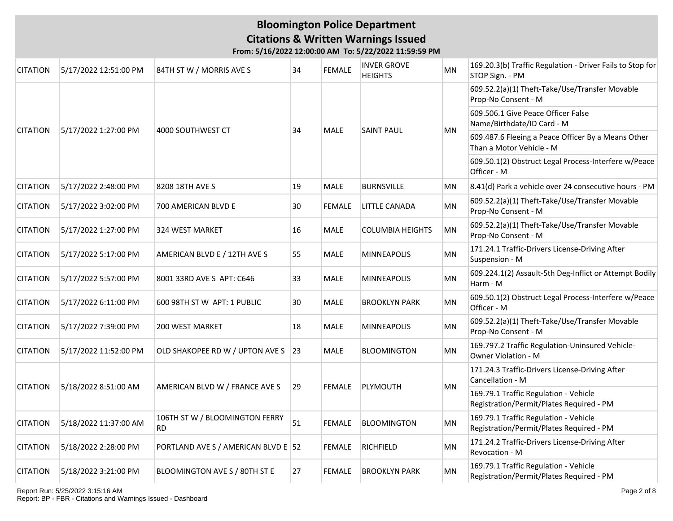| <b>CITATION</b> | 5/17/2022 12:51:00 PM | 84TH ST W / MORRIS AVE S                    | 34 | <b>FEMALE</b> | <b>INVER GROVE</b><br><b>HEIGHTS</b> | <b>MN</b> | 169.20.3(b) Traffic Regulation - Driver Fails to Stop for<br>STOP Sign. - PM      |
|-----------------|-----------------------|---------------------------------------------|----|---------------|--------------------------------------|-----------|-----------------------------------------------------------------------------------|
|                 |                       |                                             |    |               |                                      |           | 609.52.2(a)(1) Theft-Take/Use/Transfer Movable<br>Prop-No Consent - M             |
|                 |                       |                                             |    |               |                                      |           | 609.506.1 Give Peace Officer False<br>Name/Birthdate/ID Card - M                  |
| <b>CITATION</b> | 5/17/2022 1:27:00 PM  | 4000 SOUTHWEST CT                           | 34 | <b>MALE</b>   | <b>SAINT PAUL</b>                    | ΜN        | 609.487.6 Fleeing a Peace Officer By a Means Other<br>Than a Motor Vehicle - M    |
|                 |                       |                                             |    |               |                                      |           | 609.50.1(2) Obstruct Legal Process-Interfere w/Peace<br>Officer - M               |
| <b>CITATION</b> | 5/17/2022 2:48:00 PM  | 8208 18TH AVE S                             | 19 | <b>MALE</b>   | <b>BURNSVILLE</b>                    | <b>MN</b> | 8.41(d) Park a vehicle over 24 consecutive hours - PM                             |
| <b>CITATION</b> | 5/17/2022 3:02:00 PM  | 700 AMERICAN BLVD E                         | 30 | <b>FEMALE</b> | <b>LITTLE CANADA</b>                 | <b>MN</b> | 609.52.2(a)(1) Theft-Take/Use/Transfer Movable<br>Prop-No Consent - M             |
| <b>CITATION</b> | 5/17/2022 1:27:00 PM  | 324 WEST MARKET                             | 16 | <b>MALE</b>   | <b>COLUMBIA HEIGHTS</b>              | MN        | 609.52.2(a)(1) Theft-Take/Use/Transfer Movable<br>Prop-No Consent - M             |
| <b>CITATION</b> | 5/17/2022 5:17:00 PM  | AMERICAN BLVD E / 12TH AVE S                | 55 | <b>MALE</b>   | <b>MINNEAPOLIS</b>                   | MN        | 171.24.1 Traffic-Drivers License-Driving After<br>Suspension - M                  |
| <b>CITATION</b> | 5/17/2022 5:57:00 PM  | 8001 33RD AVE S APT: C646                   | 33 | MALE          | MINNEAPOLIS                          | MN        | 609.224.1(2) Assault-5th Deg-Inflict or Attempt Bodily<br>Harm - M                |
| <b>CITATION</b> | 5/17/2022 6:11:00 PM  | 600 98TH ST W APT: 1 PUBLIC                 | 30 | <b>MALE</b>   | <b>BROOKLYN PARK</b>                 | MN        | 609.50.1(2) Obstruct Legal Process-Interfere w/Peace<br>Officer - M               |
| <b>CITATION</b> | 5/17/2022 7:39:00 PM  | 200 WEST MARKET                             | 18 | <b>MALE</b>   | MINNEAPOLIS                          | MN        | 609.52.2(a)(1) Theft-Take/Use/Transfer Movable<br>Prop-No Consent - M             |
| <b>CITATION</b> | 5/17/2022 11:52:00 PM | OLD SHAKOPEE RD W / UPTON AVE S 23          |    | <b>MALE</b>   | <b>BLOOMINGTON</b>                   | MN        | 169.797.2 Traffic Regulation-Uninsured Vehicle-<br>Owner Violation - M            |
| <b>CITATION</b> | 5/18/2022 8:51:00 AM  | AMERICAN BLVD W / FRANCE AVE S              | 29 | <b>FEMALE</b> | PLYMOUTH                             | <b>MN</b> | 171.24.3 Traffic-Drivers License-Driving After<br>Cancellation - M                |
|                 |                       |                                             |    |               |                                      |           | 169.79.1 Traffic Regulation - Vehicle<br>Registration/Permit/Plates Required - PM |
| <b>CITATION</b> | 5/18/2022 11:37:00 AM | 106TH ST W / BLOOMINGTON FERRY<br><b>RD</b> | 51 | <b>FEMALE</b> | <b>BLOOMINGTON</b>                   | MN        | 169.79.1 Traffic Regulation - Vehicle<br>Registration/Permit/Plates Required - PM |
| <b>CITATION</b> | 5/18/2022 2:28:00 PM  | PORTLAND AVE S / AMERICAN BLVD E 52         |    | <b>FEMALE</b> | <b>RICHFIELD</b>                     | MN        | 171.24.2 Traffic-Drivers License-Driving After<br>Revocation - M                  |
| <b>CITATION</b> | 5/18/2022 3:21:00 PM  | BLOOMINGTON AVE S / 80TH ST E               | 27 | <b>FEMALE</b> | <b>BROOKLYN PARK</b>                 | MN        | 169.79.1 Traffic Regulation - Vehicle<br>Registration/Permit/Plates Required - PM |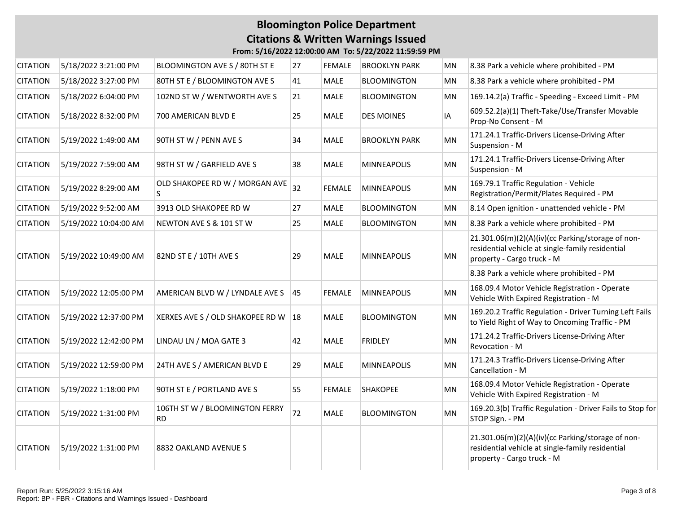| <b>CITATION</b> | 5/18/2022 3:21:00 PM  | BLOOMINGTON AVE S / 80TH ST E               | 27 | <b>FEMALE</b> | <b>BROOKLYN PARK</b> | MN        | 8.38 Park a vehicle where prohibited - PM                                                                                           |
|-----------------|-----------------------|---------------------------------------------|----|---------------|----------------------|-----------|-------------------------------------------------------------------------------------------------------------------------------------|
| <b>CITATION</b> | 5/18/2022 3:27:00 PM  | 80TH ST E / BLOOMINGTON AVE S               | 41 | <b>MALE</b>   | <b>BLOOMINGTON</b>   | MN        | 8.38 Park a vehicle where prohibited - PM                                                                                           |
| <b>CITATION</b> | 5/18/2022 6:04:00 PM  | 102ND ST W / WENTWORTH AVE S                | 21 | <b>MALE</b>   | <b>BLOOMINGTON</b>   | MN        | 169.14.2(a) Traffic - Speeding - Exceed Limit - PM                                                                                  |
| <b>CITATION</b> | 5/18/2022 8:32:00 PM  | 700 AMERICAN BLVD E                         | 25 | <b>MALE</b>   | <b>DES MOINES</b>    | IA        | 609.52.2(a)(1) Theft-Take/Use/Transfer Movable<br>Prop-No Consent - M                                                               |
| <b>CITATION</b> | 5/19/2022 1:49:00 AM  | 90TH ST W / PENN AVE S                      | 34 | <b>MALE</b>   | <b>BROOKLYN PARK</b> | <b>MN</b> | 171.24.1 Traffic-Drivers License-Driving After<br>Suspension - M                                                                    |
| <b>CITATION</b> | 5/19/2022 7:59:00 AM  | 98TH ST W / GARFIELD AVE S                  | 38 | <b>MALE</b>   | <b>MINNEAPOLIS</b>   | MN        | 171.24.1 Traffic-Drivers License-Driving After<br>Suspension - M                                                                    |
| <b>CITATION</b> | 5/19/2022 8:29:00 AM  | OLD SHAKOPEE RD W / MORGAN AVE<br>S.        | 32 | <b>FEMALE</b> | <b>MINNEAPOLIS</b>   | MN        | 169.79.1 Traffic Regulation - Vehicle<br>Registration/Permit/Plates Required - PM                                                   |
| <b>CITATION</b> | 5/19/2022 9:52:00 AM  | 3913 OLD SHAKOPEE RD W                      | 27 | <b>MALE</b>   | <b>BLOOMINGTON</b>   | MN        | 8.14 Open ignition - unattended vehicle - PM                                                                                        |
| <b>CITATION</b> | 5/19/2022 10:04:00 AM | NEWTON AVE S & 101 ST W                     | 25 | <b>MALE</b>   | <b>BLOOMINGTON</b>   | MN        | 8.38 Park a vehicle where prohibited - PM                                                                                           |
| <b>CITATION</b> | 5/19/2022 10:49:00 AM | 82ND ST E / 10TH AVE S                      | 29 | <b>MALE</b>   | <b>MINNEAPOLIS</b>   | MN        | 21.301.06(m)(2)(A)(iv)(cc Parking/storage of non-<br>residential vehicle at single-family residential<br>property - Cargo truck - M |
|                 |                       |                                             |    |               |                      |           | 8.38 Park a vehicle where prohibited - PM                                                                                           |
| <b>CITATION</b> | 5/19/2022 12:05:00 PM | AMERICAN BLVD W / LYNDALE AVE S 45          |    | <b>FEMALE</b> | <b>MINNEAPOLIS</b>   | MN        | 168.09.4 Motor Vehicle Registration - Operate<br>Vehicle With Expired Registration - M                                              |
| <b>CITATION</b> | 5/19/2022 12:37:00 PM | XERXES AVE S / OLD SHAKOPEE RD W   18       |    | <b>MALE</b>   | <b>BLOOMINGTON</b>   | MN        | 169.20.2 Traffic Regulation - Driver Turning Left Fails<br>to Yield Right of Way to Oncoming Traffic - PM                           |
| <b>CITATION</b> | 5/19/2022 12:42:00 PM | LINDAU LN / MOA GATE 3                      | 42 | <b>MALE</b>   | <b>FRIDLEY</b>       | <b>MN</b> | 171.24.2 Traffic-Drivers License-Driving After<br>Revocation - M                                                                    |
| <b>CITATION</b> | 5/19/2022 12:59:00 PM | 24TH AVE S / AMERICAN BLVD E                | 29 | <b>MALE</b>   | <b>MINNEAPOLIS</b>   | <b>MN</b> | 171.24.3 Traffic-Drivers License-Driving After<br>Cancellation - M                                                                  |
| <b>CITATION</b> | 5/19/2022 1:18:00 PM  | 90TH ST E / PORTLAND AVE S                  | 55 | <b>FEMALE</b> | <b>SHAKOPEE</b>      | MN        | 168.09.4 Motor Vehicle Registration - Operate<br>Vehicle With Expired Registration - M                                              |
| <b>CITATION</b> | 5/19/2022 1:31:00 PM  | 106TH ST W / BLOOMINGTON FERRY<br><b>RD</b> | 72 | MALE          | <b>BLOOMINGTON</b>   | MN        | 169.20.3(b) Traffic Regulation - Driver Fails to Stop for<br>STOP Sign. - PM                                                        |
| <b>CITATION</b> | 5/19/2022 1:31:00 PM  | 8832 OAKLAND AVENUE S                       |    |               |                      |           | 21.301.06(m)(2)(A)(iv)(cc Parking/storage of non-<br>residential vehicle at single-family residential<br>property - Cargo truck - M |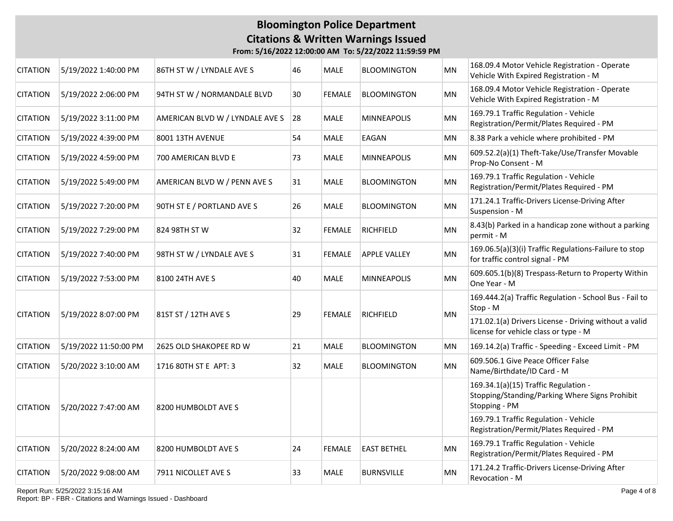#### **Bloomington Police Department Citations & Written Warnings Issued From: 5/16/2022 12:00:00 AM To: 5/22/2022 11:59:59 PM**

| <b>CITATION</b> | 5/19/2022 1:40:00 PM  | 86TH ST W / LYNDALE AVE S       | 46 | MALE          | <b>BLOOMINGTON</b>  | MN        | 168.09.4 Motor Vehicle Registration - Operate<br>Vehicle With Expired Registration - M                  |
|-----------------|-----------------------|---------------------------------|----|---------------|---------------------|-----------|---------------------------------------------------------------------------------------------------------|
| <b>CITATION</b> | 5/19/2022 2:06:00 PM  | 94TH ST W / NORMANDALE BLVD     | 30 | <b>FEMALE</b> | <b>BLOOMINGTON</b>  | <b>MN</b> | 168.09.4 Motor Vehicle Registration - Operate<br>Vehicle With Expired Registration - M                  |
| <b>CITATION</b> | 5/19/2022 3:11:00 PM  | AMERICAN BLVD W / LYNDALE AVE S | 28 | <b>MALE</b>   | MINNEAPOLIS         | MN        | 169.79.1 Traffic Regulation - Vehicle<br>Registration/Permit/Plates Required - PM                       |
| <b>CITATION</b> | 5/19/2022 4:39:00 PM  | 8001 13TH AVENUE                | 54 | <b>MALE</b>   | EAGAN               | <b>MN</b> | 8.38 Park a vehicle where prohibited - PM                                                               |
| <b>CITATION</b> | 5/19/2022 4:59:00 PM  | 700 AMERICAN BLVD E             | 73 | <b>MALE</b>   | MINNEAPOLIS         | MN        | 609.52.2(a)(1) Theft-Take/Use/Transfer Movable<br>Prop-No Consent - M                                   |
| <b>CITATION</b> | 5/19/2022 5:49:00 PM  | AMERICAN BLVD W / PENN AVE S    | 31 | <b>MALE</b>   | <b>BLOOMINGTON</b>  | MN        | 169.79.1 Traffic Regulation - Vehicle<br>Registration/Permit/Plates Required - PM                       |
| <b>CITATION</b> | 5/19/2022 7:20:00 PM  | 90TH ST E / PORTLAND AVE S      | 26 | MALE          | <b>BLOOMINGTON</b>  | MN        | 171.24.1 Traffic-Drivers License-Driving After<br>Suspension - M                                        |
| <b>CITATION</b> | 5/19/2022 7:29:00 PM  | 824 98TH ST W                   | 32 | <b>FEMALE</b> | <b>RICHFIELD</b>    | <b>MN</b> | 8.43(b) Parked in a handicap zone without a parking<br>permit - M                                       |
| <b>CITATION</b> | 5/19/2022 7:40:00 PM  | 98TH ST W / LYNDALE AVE S       | 31 | <b>FEMALE</b> | <b>APPLE VALLEY</b> | MN        | 169.06.5(a)(3)(i) Traffic Regulations-Failure to stop<br>for traffic control signal - PM                |
| <b>CITATION</b> | 5/19/2022 7:53:00 PM  | 8100 24TH AVE S                 | 40 | <b>MALE</b>   | <b>MINNEAPOLIS</b>  | <b>MN</b> | 609.605.1(b)(8) Trespass-Return to Property Within<br>One Year - M                                      |
|                 | 5/19/2022 8:07:00 PM  | 81ST ST / 12TH AVE S            |    | <b>FEMALE</b> |                     |           | 169.444.2(a) Traffic Regulation - School Bus - Fail to<br>Stop - M                                      |
| <b>CITATION</b> |                       |                                 | 29 |               | <b>RICHFIELD</b>    | <b>MN</b> | 171.02.1(a) Drivers License - Driving without a valid<br>license for vehicle class or type - M          |
| <b>CITATION</b> | 5/19/2022 11:50:00 PM | 2625 OLD SHAKOPEE RD W          | 21 | <b>MALE</b>   | <b>BLOOMINGTON</b>  | MN        | 169.14.2(a) Traffic - Speeding - Exceed Limit - PM                                                      |
| <b>CITATION</b> | 5/20/2022 3:10:00 AM  | 1716 80TH ST E APT: 3           | 32 | <b>MALE</b>   | <b>BLOOMINGTON</b>  | <b>MN</b> | 609.506.1 Give Peace Officer False<br>Name/Birthdate/ID Card - M                                        |
| <b>CITATION</b> | 5/20/2022 7:47:00 AM  | 8200 HUMBOLDT AVE S             |    |               |                     |           | 169.34.1(a)(15) Traffic Regulation -<br>Stopping/Standing/Parking Where Signs Prohibit<br>Stopping - PM |
|                 |                       |                                 |    |               |                     |           | 169.79.1 Traffic Regulation - Vehicle<br>Registration/Permit/Plates Required - PM                       |
| <b>CITATION</b> | 5/20/2022 8:24:00 AM  | 8200 HUMBOLDT AVE S             | 24 | <b>FEMALE</b> | <b>EAST BETHEL</b>  | MN        | 169.79.1 Traffic Regulation - Vehicle<br>Registration/Permit/Plates Required - PM                       |
| <b>CITATION</b> | 5/20/2022 9:08:00 AM  | 7911 NICOLLET AVE S             | 33 | <b>MALE</b>   | <b>BURNSVILLE</b>   | MN        | 171.24.2 Traffic-Drivers License-Driving After<br>Revocation - M                                        |

Report Run: 5/25/2022 3:15:16 AM Report: BP - FBR - Citations and Warnings Issued - Dashboard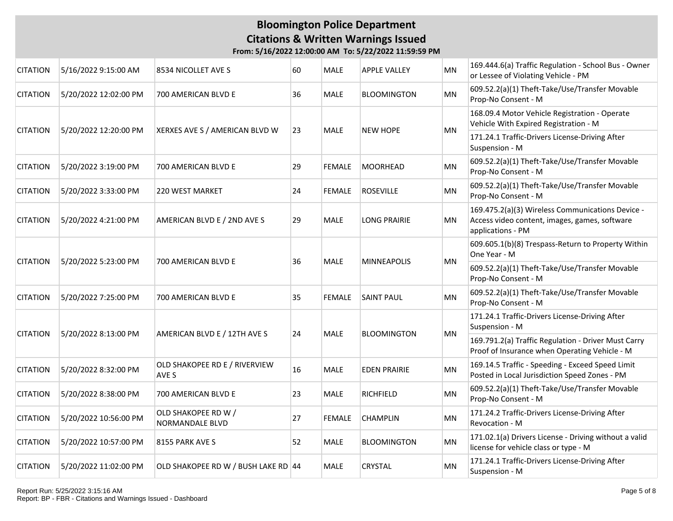| <b>CITATION</b> | 5/16/2022 9:15:00 AM  | 8534 NICOLLET AVE S                    | 60 | MALE          | <b>APPLE VALLEY</b> | MN        | 169.444.6(a) Traffic Regulation - School Bus - Owner<br>or Lessee of Violating Vehicle - PM                            |
|-----------------|-----------------------|----------------------------------------|----|---------------|---------------------|-----------|------------------------------------------------------------------------------------------------------------------------|
| <b>CITATION</b> | 5/20/2022 12:02:00 PM | 700 AMERICAN BLVD E                    | 36 | MALE          | <b>BLOOMINGTON</b>  | MN        | 609.52.2(a)(1) Theft-Take/Use/Transfer Movable<br>Prop-No Consent - M                                                  |
| <b>CITATION</b> | 5/20/2022 12:20:00 PM | XERXES AVE S / AMERICAN BLVD W         | 23 | <b>MALE</b>   | <b>NEW HOPE</b>     | MN        | 168.09.4 Motor Vehicle Registration - Operate<br>Vehicle With Expired Registration - M                                 |
|                 |                       |                                        |    |               |                     |           | 171.24.1 Traffic-Drivers License-Driving After<br>Suspension - M                                                       |
| <b>CITATION</b> | 5/20/2022 3:19:00 PM  | 700 AMERICAN BLVD E                    | 29 | <b>FEMALE</b> | <b>MOORHEAD</b>     | <b>MN</b> | 609.52.2(a)(1) Theft-Take/Use/Transfer Movable<br>Prop-No Consent - M                                                  |
| <b>CITATION</b> | 5/20/2022 3:33:00 PM  | <b>220 WEST MARKET</b>                 | 24 | <b>FEMALE</b> | <b>ROSEVILLE</b>    | MN        | 609.52.2(a)(1) Theft-Take/Use/Transfer Movable<br>Prop-No Consent - M                                                  |
| <b>CITATION</b> | 5/20/2022 4:21:00 PM  | AMERICAN BLVD E / 2ND AVE S            | 29 | MALE          | <b>LONG PRAIRIE</b> | MN        | 169.475.2(a)(3) Wireless Communications Device -<br>Access video content, images, games, software<br>applications - PM |
|                 | 5/20/2022 5:23:00 PM  | 700 AMERICAN BLVD E                    |    | <b>MALE</b>   |                     | MN        | 609.605.1(b)(8) Trespass-Return to Property Within<br>One Year - M                                                     |
| <b>CITATION</b> |                       |                                        | 36 |               | <b>MINNEAPOLIS</b>  |           | 609.52.2(a)(1) Theft-Take/Use/Transfer Movable<br>Prop-No Consent - M                                                  |
| <b>CITATION</b> | 5/20/2022 7:25:00 PM  | 700 AMERICAN BLVD E                    | 35 | <b>FEMALE</b> | <b>SAINT PAUL</b>   | MN        | 609.52.2(a)(1) Theft-Take/Use/Transfer Movable<br>Prop-No Consent - M                                                  |
| <b>CITATION</b> | 5/20/2022 8:13:00 PM  | AMERICAN BLVD E / 12TH AVE S           | 24 | <b>MALE</b>   | <b>BLOOMINGTON</b>  | <b>MN</b> | 171.24.1 Traffic-Drivers License-Driving After<br>Suspension - M                                                       |
|                 |                       |                                        |    |               |                     |           | 169.791.2(a) Traffic Regulation - Driver Must Carry<br>Proof of Insurance when Operating Vehicle - M                   |
| <b>CITATION</b> | 5/20/2022 8:32:00 PM  | OLD SHAKOPEE RD E / RIVERVIEW<br>AVE S | 16 | <b>MALE</b>   | <b>EDEN PRAIRIE</b> | MN        | 169.14.5 Traffic - Speeding - Exceed Speed Limit<br>Posted in Local Jurisdiction Speed Zones - PM                      |
| <b>CITATION</b> | 5/20/2022 8:38:00 PM  | 700 AMERICAN BLVD E                    | 23 | MALE          | <b>RICHFIELD</b>    | MN        | 609.52.2(a)(1) Theft-Take/Use/Transfer Movable<br>Prop-No Consent - M                                                  |
| <b>CITATION</b> | 5/20/2022 10:56:00 PM | OLD SHAKOPEE RD W /<br>NORMANDALE BLVD | 27 | <b>FEMALE</b> | CHAMPLIN            | MN        | 171.24.2 Traffic-Drivers License-Driving After<br>Revocation - M                                                       |
| <b>CITATION</b> | 5/20/2022 10:57:00 PM | 8155 PARK AVE S                        | 52 | MALE          | <b>BLOOMINGTON</b>  | MN        | 171.02.1(a) Drivers License - Driving without a valid<br>license for vehicle class or type - M                         |
| <b>CITATION</b> | 5/20/2022 11:02:00 PM | OLD SHAKOPEE RD W / BUSH LAKE RD 44    |    | MALE          | CRYSTAL             | <b>MN</b> | 171.24.1 Traffic-Drivers License-Driving After<br>Suspension - M                                                       |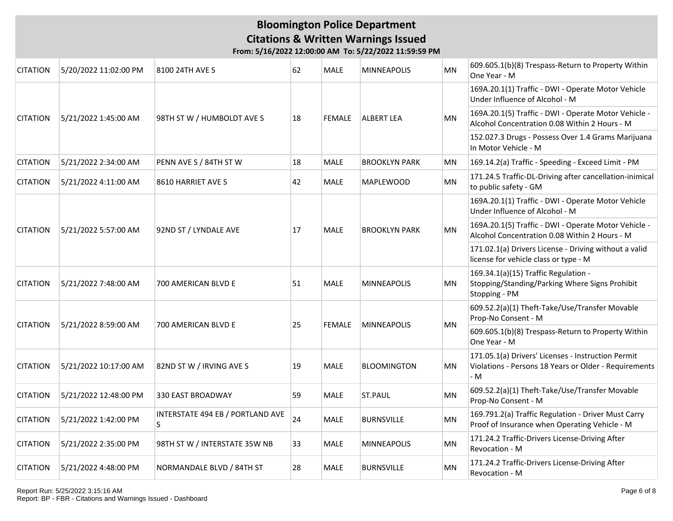| <b>CITATION</b> | 5/20/2022 11:02:00 PM | 8100 24TH AVE S                        | 62 | <b>MALE</b>   | <b>MINNEAPOLIS</b>   | <b>MN</b> | 609.605.1(b)(8) Trespass-Return to Property Within<br>One Year - M                                                  |
|-----------------|-----------------------|----------------------------------------|----|---------------|----------------------|-----------|---------------------------------------------------------------------------------------------------------------------|
|                 |                       |                                        |    | <b>FEMALE</b> |                      |           | 169A.20.1(1) Traffic - DWI - Operate Motor Vehicle<br>Under Influence of Alcohol - M                                |
| <b>CITATION</b> | 5/21/2022 1:45:00 AM  | 98TH ST W / HUMBOLDT AVE S             | 18 |               | <b>ALBERT LEA</b>    | <b>MN</b> | 169A.20.1(5) Traffic - DWI - Operate Motor Vehicle -<br>Alcohol Concentration 0.08 Within 2 Hours - M               |
|                 |                       |                                        |    |               |                      |           | 152.027.3 Drugs - Possess Over 1.4 Grams Marijuana<br>In Motor Vehicle - M                                          |
| <b>CITATION</b> | 5/21/2022 2:34:00 AM  | PENN AVE S / 84TH ST W                 | 18 | <b>MALE</b>   | <b>BROOKLYN PARK</b> | <b>MN</b> | 169.14.2(a) Traffic - Speeding - Exceed Limit - PM                                                                  |
| <b>CITATION</b> | 5/21/2022 4:11:00 AM  | 8610 HARRIET AVE S                     | 42 | <b>MALE</b>   | <b>MAPLEWOOD</b>     | <b>MN</b> | 171.24.5 Traffic-DL-Driving after cancellation-inimical<br>to public safety - GM                                    |
|                 |                       |                                        |    | MALE          |                      |           | 169A.20.1(1) Traffic - DWI - Operate Motor Vehicle<br>Under Influence of Alcohol - M                                |
| <b>CITATION</b> | 5/21/2022 5:57:00 AM  | 92ND ST / LYNDALE AVE                  | 17 |               | <b>BROOKLYN PARK</b> | <b>MN</b> | 169A.20.1(5) Traffic - DWI - Operate Motor Vehicle -<br>Alcohol Concentration 0.08 Within 2 Hours - M               |
|                 |                       |                                        |    |               |                      |           | 171.02.1(a) Drivers License - Driving without a valid<br>license for vehicle class or type - M                      |
| <b>CITATION</b> | 5/21/2022 7:48:00 AM  | 700 AMERICAN BLVD E                    | 51 | <b>MALE</b>   | <b>MINNEAPOLIS</b>   | MN        | 169.34.1(a)(15) Traffic Regulation -<br>Stopping/Standing/Parking Where Signs Prohibit<br>Stopping - PM             |
| <b>CITATION</b> | 5/21/2022 8:59:00 AM  | 700 AMERICAN BLVD E                    |    | <b>FEMALE</b> | <b>MINNEAPOLIS</b>   | MN        | 609.52.2(a)(1) Theft-Take/Use/Transfer Movable<br>Prop-No Consent - M                                               |
|                 |                       |                                        | 25 |               |                      |           | 609.605.1(b)(8) Trespass-Return to Property Within<br>One Year - M                                                  |
| <b>CITATION</b> | 5/21/2022 10:17:00 AM | 82ND ST W / IRVING AVE S               | 19 | <b>MALE</b>   | <b>BLOOMINGTON</b>   | <b>MN</b> | 171.05.1(a) Drivers' Licenses - Instruction Permit<br>Violations - Persons 18 Years or Older - Requirements<br>$-M$ |
| <b>CITATION</b> | 5/21/2022 12:48:00 PM | 330 EAST BROADWAY                      | 59 | <b>MALE</b>   | ST.PAUL              | <b>MN</b> | 609.52.2(a)(1) Theft-Take/Use/Transfer Movable<br>Prop-No Consent - M                                               |
| <b>CITATION</b> | 5/21/2022 1:42:00 PM  | INTERSTATE 494 EB / PORTLAND AVE<br>S. | 24 | <b>MALE</b>   | <b>BURNSVILLE</b>    | <b>MN</b> | 169.791.2(a) Traffic Regulation - Driver Must Carry<br>Proof of Insurance when Operating Vehicle - M                |
| <b>CITATION</b> | 5/21/2022 2:35:00 PM  | 98TH ST W / INTERSTATE 35W NB          | 33 | MALE          | <b>MINNEAPOLIS</b>   | <b>MN</b> | 171.24.2 Traffic-Drivers License-Driving After<br>Revocation - M                                                    |
| <b>CITATION</b> | 5/21/2022 4:48:00 PM  | NORMANDALE BLVD / 84TH ST              | 28 | <b>MALE</b>   | <b>BURNSVILLE</b>    | <b>MN</b> | 171.24.2 Traffic-Drivers License-Driving After<br>Revocation - M                                                    |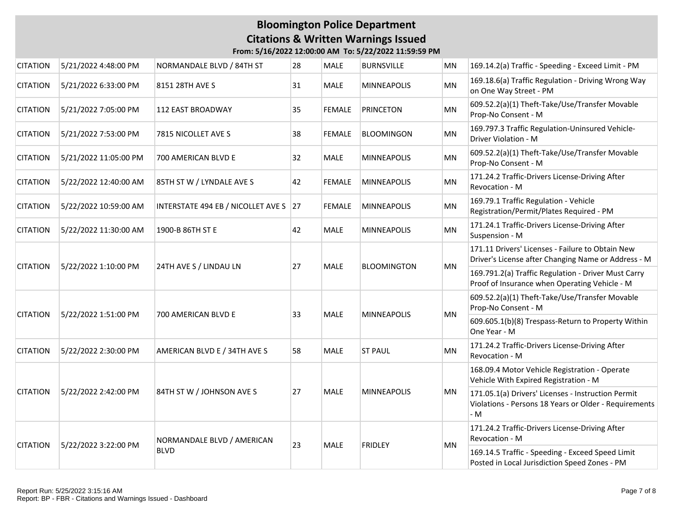| <b>CITATION</b> | 5/21/2022 4:48:00 PM  | NORMANDALE BLVD / 84TH ST                 | 28 | <b>MALE</b>   | <b>BURNSVILLE</b>  | MN        | 169.14.2(a) Traffic - Speeding - Exceed Limit - PM                                                                 |
|-----------------|-----------------------|-------------------------------------------|----|---------------|--------------------|-----------|--------------------------------------------------------------------------------------------------------------------|
| <b>CITATION</b> | 5/21/2022 6:33:00 PM  | 8151 28TH AVE S                           | 31 | MALE          | <b>MINNEAPOLIS</b> | MN        | 169.18.6(a) Traffic Regulation - Driving Wrong Way<br>on One Way Street - PM                                       |
| <b>CITATION</b> | 5/21/2022 7:05:00 PM  | 112 EAST BROADWAY                         | 35 | <b>FEMALE</b> | <b>PRINCETON</b>   | MN        | 609.52.2(a)(1) Theft-Take/Use/Transfer Movable<br>Prop-No Consent - M                                              |
| <b>CITATION</b> | 5/21/2022 7:53:00 PM  | 7815 NICOLLET AVE S                       | 38 | <b>FEMALE</b> | <b>BLOOMINGON</b>  | MN        | 169.797.3 Traffic Regulation-Uninsured Vehicle-<br>Driver Violation - M                                            |
| <b>CITATION</b> | 5/21/2022 11:05:00 PM | 700 AMERICAN BLVD E                       | 32 | MALE          | <b>MINNEAPOLIS</b> | <b>MN</b> | 609.52.2(a)(1) Theft-Take/Use/Transfer Movable<br>Prop-No Consent - M                                              |
| <b>CITATION</b> | 5/22/2022 12:40:00 AM | 85TH ST W / LYNDALE AVE S                 | 42 | <b>FEMALE</b> | <b>MINNEAPOLIS</b> | MN        | 171.24.2 Traffic-Drivers License-Driving After<br>Revocation - M                                                   |
| <b>CITATION</b> | 5/22/2022 10:59:00 AM | INTERSTATE 494 EB / NICOLLET AVE S 27     |    | <b>FEMALE</b> | <b>MINNEAPOLIS</b> | MN        | 169.79.1 Traffic Regulation - Vehicle<br>Registration/Permit/Plates Required - PM                                  |
| <b>CITATION</b> | 5/22/2022 11:30:00 AM | 1900-B 86TH ST E                          | 42 | <b>MALE</b>   | <b>MINNEAPOLIS</b> | MN        | 171.24.1 Traffic-Drivers License-Driving After<br>Suspension - M                                                   |
| <b>CITATION</b> | 5/22/2022 1:10:00 PM  | 24TH AVE S / LINDAU LN                    |    | <b>MALE</b>   | <b>BLOOMINGTON</b> | MN        | 171.11 Drivers' Licenses - Failure to Obtain New<br>Driver's License after Changing Name or Address - M            |
|                 |                       |                                           | 27 |               |                    |           | 169.791.2(a) Traffic Regulation - Driver Must Carry<br>Proof of Insurance when Operating Vehicle - M               |
|                 | 5/22/2022 1:51:00 PM  | 700 AMERICAN BLVD E                       | 33 | <b>MALE</b>   |                    |           | 609.52.2(a)(1) Theft-Take/Use/Transfer Movable<br>Prop-No Consent - M                                              |
| <b>CITATION</b> |                       |                                           |    |               | <b>MINNEAPOLIS</b> | MN        | 609.605.1(b)(8) Trespass-Return to Property Within<br>One Year - M                                                 |
| <b>CITATION</b> | 5/22/2022 2:30:00 PM  | AMERICAN BLVD E / 34TH AVE S              | 58 | <b>MALE</b>   | <b>ST PAUL</b>     | <b>MN</b> | 171.24.2 Traffic-Drivers License-Driving After<br>Revocation - M                                                   |
|                 |                       | 84TH ST W / JOHNSON AVE S                 |    |               |                    |           | 168.09.4 Motor Vehicle Registration - Operate<br>Vehicle With Expired Registration - M                             |
| <b>CITATION</b> | 5/22/2022 2:42:00 PM  |                                           | 27 | <b>MALE</b>   | <b>MINNEAPOLIS</b> | MN        | 171.05.1(a) Drivers' Licenses - Instruction Permit<br>Violations - Persons 18 Years or Older - Requirements<br>- M |
|                 | 5/22/2022 3:22:00 PM  | NORMANDALE BLVD / AMERICAN<br><b>BLVD</b> |    |               |                    |           | 171.24.2 Traffic-Drivers License-Driving After<br>Revocation - M                                                   |
| <b>CITATION</b> |                       |                                           | 23 | <b>MALE</b>   | <b>FRIDLEY</b>     | MN        | 169.14.5 Traffic - Speeding - Exceed Speed Limit<br>Posted in Local Jurisdiction Speed Zones - PM                  |